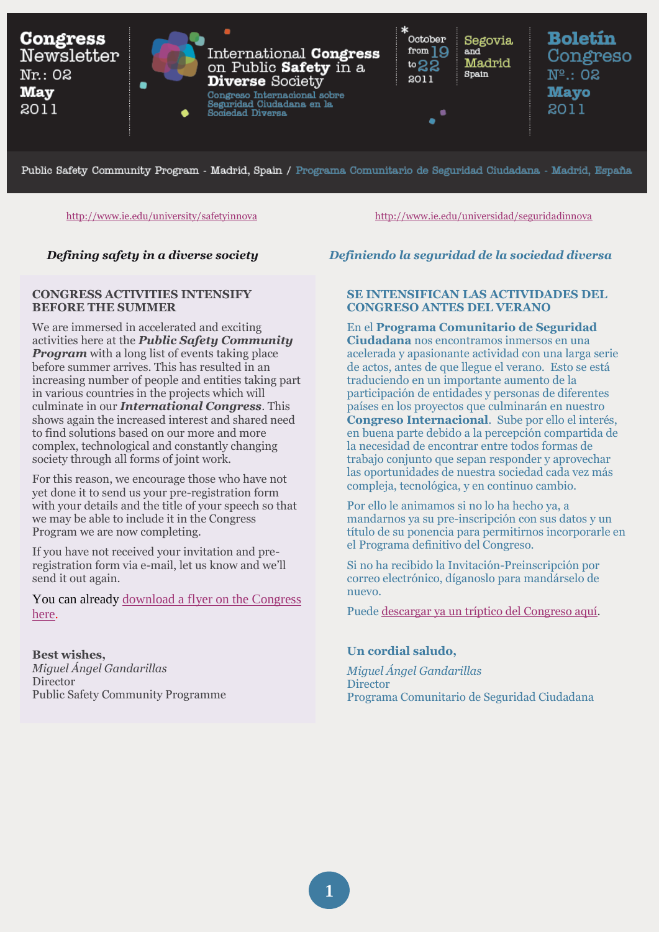

Public Safety Community Program - Madrid, Spain / Programa Comunitario de Seguridad Ciudadana - Madrid, España

<http://www.ie.edu/university/safetyinnova><http://www.ie.edu/universidad/seguridadinnova>

#### **CONGRESS ACTIVITIES INTENSIFY BEFORE THE SUMMER**

We are immersed in accelerated and exciting activities here at the *Public Safety Community Program* with a long list of events taking place before summer arrives. This has resulted in an increasing number of people and entities taking part in various countries in the projects which will culminate in our *International Congress*. This shows again the increased interest and shared need to find solutions based on our more and more complex, technological and constantly changing society through all forms of joint work.

For this reason, we encourage those who have not yet done it to send us your pre-registration form with your details and the title of your speech so that we may be able to include it in the Congress Program we are now completing.

If you have not received your invitation and preregistration form via e-mail, let us know and we'll send it out again.

You can already [download a flyer on the Congress](http://www.ie.edu/university/safetyinnova)  [here.](http://www.ie.edu/university/safetyinnova)

**Best wishes,** *Miguel Ángel Gandarillas* Director Public Safety Community Programme

# *Defining safety in a diverse society Definiendo la seguridad de la sociedad diversa*

#### **SE INTENSIFICAN LAS ACTIVIDADES DEL CONGRESO ANTES DEL VERANO**

En el **Programa Comunitario de Seguridad Ciudadana** nos encontramos inmersos en una acelerada y apasionante actividad con una larga serie de actos, antes de que llegue el verano. Esto se está traduciendo en un importante aumento de la participación de entidades y personas de diferentes países en los proyectos que culminarán en nuestro **Congreso Internacional**. Sube por ello el interés, en buena parte debido a la percepción compartida de la necesidad de encontrar entre todos formas de trabajo conjunto que sepan responder y aprovechar las oportunidades de nuestra sociedad cada vez más compleja, tecnológica, y en continuo cambio.

Por ello le animamos si no lo ha hecho ya, a mandarnos ya su pre-inscripción con sus datos y un título de su ponencia para permitirnos incorporarle en el Programa definitivo del Congreso.

Si no ha recibido la Invitación-Preinscripción por correo electrónico, díganoslo para mandárselo de nuevo.

Puede [descargar ya un tríptico del Congreso aquí.](http://www.ie.edu/universidad/seguridadinnova)

#### **Un cordial saludo,**

*Miguel Ángel Gandarillas* **Director** Programa Comunitario de Seguridad Ciudadana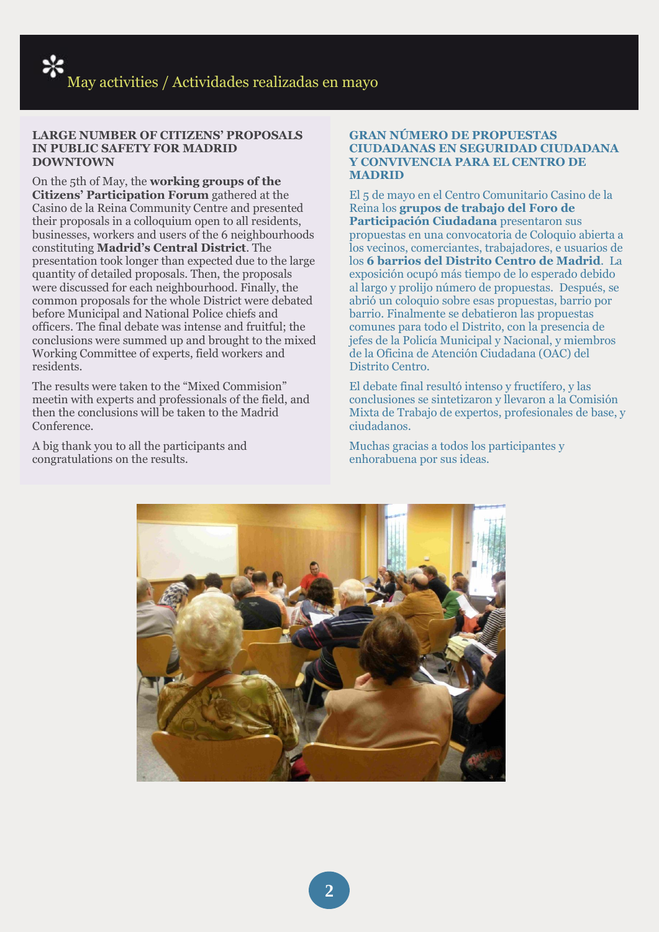#### **LARGE NUMBER OF CITIZENS' PROPOSALS IN PUBLIC SAFETY FOR MADRID DOWNTOWN**

On the 5th of May, the **working groups of the Citizens' Participation Forum** gathered at the Casino de la Reina Community Centre and presented their proposals in a colloquium open to all residents, businesses, workers and users of the 6 neighbourhoods constituting **Madrid's Central District**. The presentation took longer than expected due to the large quantity of detailed proposals. Then, the proposals were discussed for each neighbourhood. Finally, the common proposals for the whole District were debated before Municipal and National Police chiefs and officers. The final debate was intense and fruitful; the conclusions were summed up and brought to the mixed Working Committee of experts, field workers and residents.

The results were taken to the "Mixed Commision" meetin with experts and professionals of the field, and then the conclusions will be taken to the Madrid Conference.

A big thank you to all the participants and congratulations on the results.

#### **GRAN NÚMERO DE PROPUESTAS CIUDADANAS EN SEGURIDAD CIUDADANA Y CONVIVENCIA PARA EL CENTRO DE MADRID**

El 5 de mayo en el Centro Comunitario Casino de la Reina los **grupos de trabajo del Foro de Participación Ciudadana** presentaron sus propuestas en una convocatoria de Coloquio abierta a los vecinos, comerciantes, trabajadores, e usuarios de los **6 barrios del Distrito Centro de Madrid**. La exposición ocupó más tiempo de lo esperado debido al largo y prolijo número de propuestas. Después, se abrió un coloquio sobre esas propuestas, barrio por barrio. Finalmente se debatieron las propuestas comunes para todo el Distrito, con la presencia de jefes de la Policía Municipal y Nacional, y miembros de la Oficina de Atención Ciudadana (OAC) del Distrito Centro.

El debate final resultó intenso y fructífero, y las conclusiones se sintetizaron y llevaron a la Comisión Mixta de Trabajo de expertos, profesionales de base, y ciudadanos.

Muchas gracias a todos los participantes y enhorabuena por sus ideas.

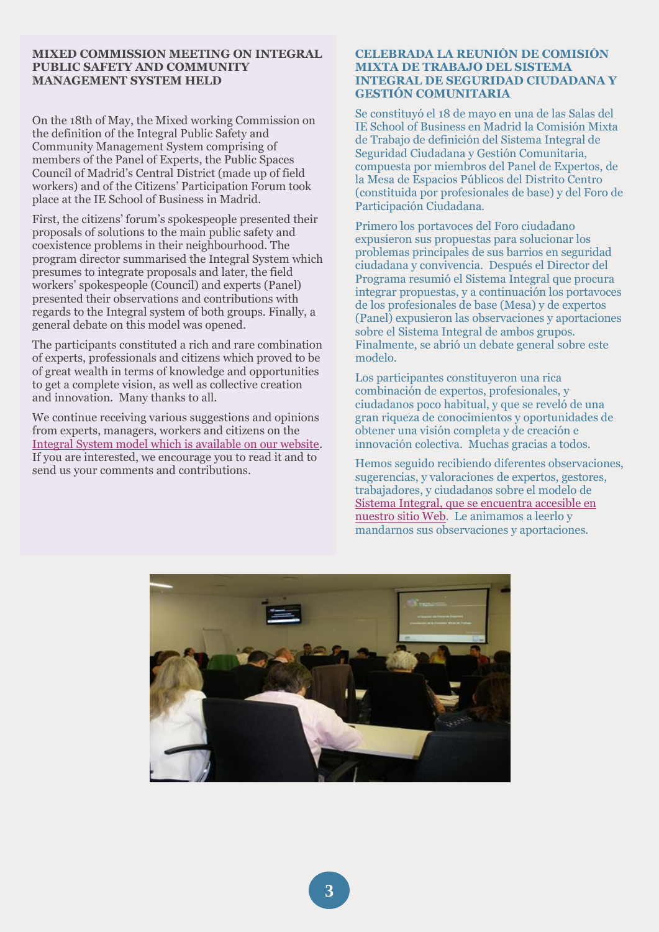#### **MIXED COMMISSION MEETING ON INTEGRAL PUBLIC SAFETY AND COMMUNITY MANAGEMENT SYSTEM HELD**

On the 18th of May, the Mixed working Commission on the definition of the Integral Public Safety and Community Management System comprising of members of the Panel of Experts, the Public Spaces Council of Madrid's Central District (made up of field workers) and of the Citizens' Participation Forum took place at the IE School of Business in Madrid.

First, the citizens' forum's spokespeople presented their proposals of solutions to the main public safety and coexistence problems in their neighbourhood. The program director summarised the Integral System which presumes to integrate proposals and later, the field workers' spokespeople (Council) and experts (Panel) presented their observations and contributions with regards to the Integral system of both groups. Finally, a general debate on this model was opened.

The participants constituted a rich and rare combination of experts, professionals and citizens which proved to be of great wealth in terms of knowledge and opportunities to get a complete vision, as well as collective creation and innovation. Many thanks to all.

We continue receiving various suggestions and opinions from experts, managers, workers and citizens on the [Integral System model which is available on our website.](http://www.ie.edu/university/safetyinnova) If you are interested, we encourage you to read it and to send us your comments and contributions.

#### **CELEBRADA LA REUNIÓN DE COMISIÓN MIXTA DE TRABAJO DEL SISTEMA INTEGRAL DE SEGURIDAD CIUDADANA Y GESTIÓN COMUNITARIA**

Se constituyó el 18 de mayo en una de las Salas del IE School of Business en Madrid la Comisión Mixta de Trabajo de definición del Sistema Integral de Seguridad Ciudadana y Gestión Comunitaria, compuesta por miembros del Panel de Expertos, de la Mesa de Espacios Públicos del Distrito Centro (constituida por profesionales de base) y del Foro de Participación Ciudadana.

Primero los portavoces del Foro ciudadano expusieron sus propuestas para solucionar los problemas principales de sus barrios en seguridad ciudadana y convivencia. Después el Director del Programa resumió el Sistema Integral que procura integrar propuestas, y a continuación los portavoces de los profesionales de base (Mesa) y de expertos (Panel) expusieron las observaciones y aportaciones sobre el Sistema Integral de ambos grupos. Finalmente, se abrió un debate general sobre este modelo.

Los participantes constituyeron una rica combinación de expertos, profesionales, y ciudadanos poco habitual, y que se reveló de una gran riqueza de conocimientos y oportunidades de obtener una visión completa y de creación e innovación colectiva. Muchas gracias a todos.

Hemos seguido recibiendo diferentes observaciones, sugerencias, y valoraciones de expertos, gestores, trabajadores, y ciudadanos sobre el modelo de [Sistema Integral, que se encuentra accesible en](http://www.ie.edu/universidad/seguridadinnova)  [nuestro sitio Web.](http://www.ie.edu/universidad/seguridadinnova) Le animamos a leerlo y mandarnos sus observaciones y aportaciones.

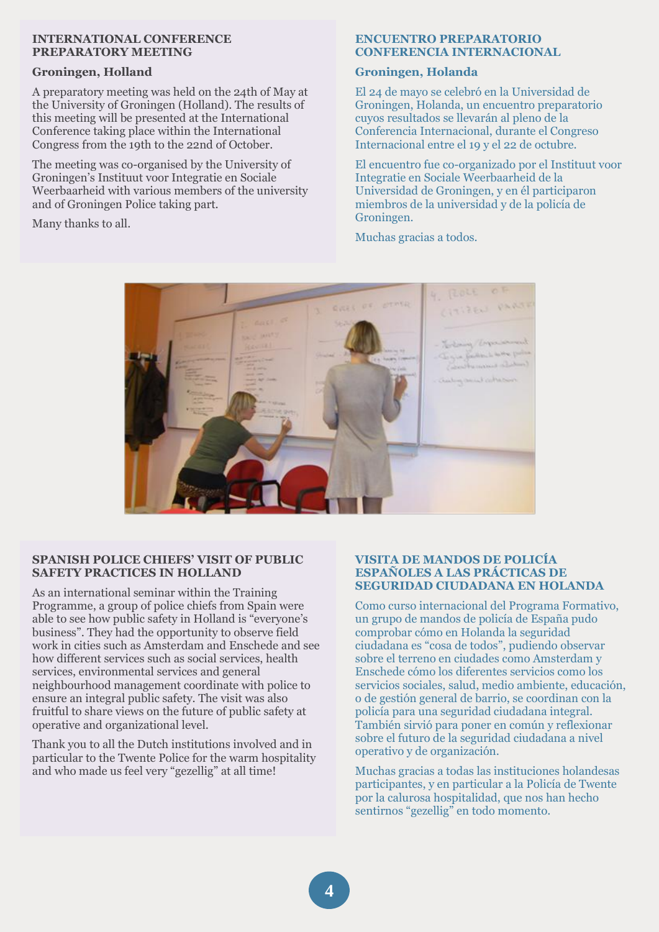#### **INTERNATIONAL CONFERENCE PREPARATORY MEETING**

#### **Groningen, Holland**

A preparatory meeting was held on the 24th of May at the University of Groningen (Holland). The results of this meeting will be presented at the International Conference taking place within the International Congress from the 19th to the 22nd of October.

The meeting was co-organised by the University of Groningen's Instituut voor Integratie en Sociale Weerbaarheid with various members of the university and of Groningen Police taking part.

Many thanks to all.

#### **ENCUENTRO PREPARATORIO CONFERENCIA INTERNACIONAL**

### **Groningen, Holanda**

El 24 de mayo se celebró en la Universidad de Groningen, Holanda, un encuentro preparatorio cuyos resultados se llevarán al pleno de la Conferencia Internacional, durante el Congreso Internacional entre el 19 y el 22 de octubre.

El encuentro fue co-organizado por el Instituut voor Integratie en Sociale Weerbaarheid de la Universidad de Groningen, y en él participaron miembros de la universidad y de la policía de Groningen.

Muchas gracias a todos.



#### **SPANISH POLICE CHIEFS' VISIT OF PUBLIC SAFETY PRACTICES IN HOLLAND**

As an international seminar within the Training Programme, a group of police chiefs from Spain were able to see how public safety in Holland is "everyone's business". They had the opportunity to observe field work in cities such as Amsterdam and Enschede and see how different services such as social services, health services, environmental services and general neighbourhood management coordinate with police to ensure an integral public safety. The visit was also fruitful to share views on the future of public safety at operative and organizational level.

Thank you to all the Dutch institutions involved and in particular to the Twente Police for the warm hospitality and who made us feel very "gezellig" at all time!

#### **VISITA DE MANDOS DE POLICÍA ESPAÑOLES A LAS PRÁCTICAS DE SEGURIDAD CIUDADANA EN HOLANDA**

Como curso internacional del Programa Formativo, un grupo de mandos de policía de España pudo comprobar cómo en Holanda la seguridad ciudadana es "cosa de todos", pudiendo observar sobre el terreno en ciudades como Amsterdam y Enschede cómo los diferentes servicios como los servicios sociales, salud, medio ambiente, educación, o de gestión general de barrio, se coordinan con la policía para una seguridad ciudadana integral. También sirvió para poner en común y reflexionar sobre el futuro de la seguridad ciudadana a nivel operativo y de organización.

Muchas gracias a todas las instituciones holandesas participantes, y en particular a la Policía de Twente por la calurosa hospitalidad, que nos han hecho sentirnos "gezellig" en todo momento.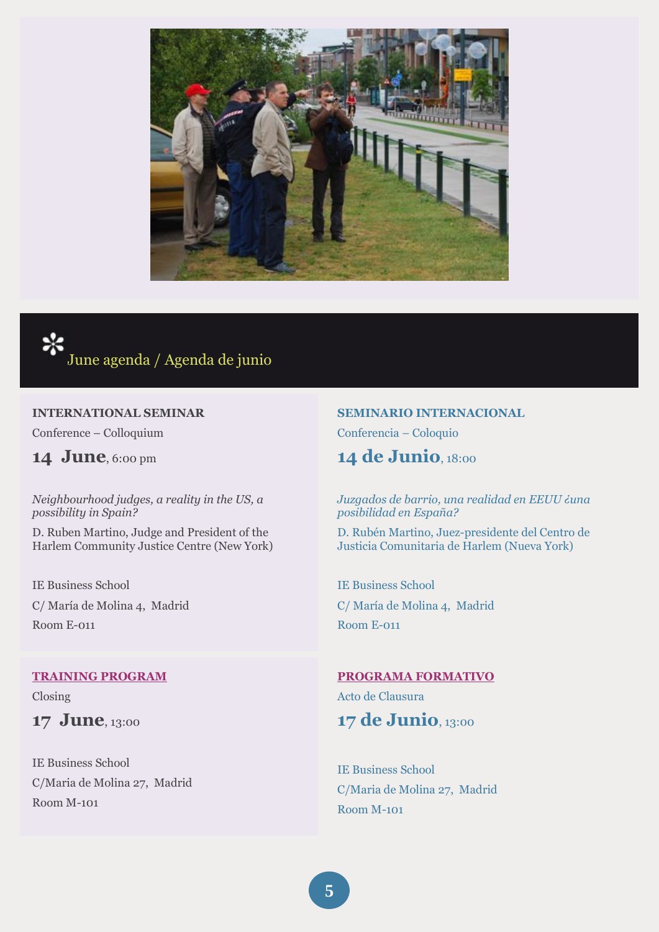



#### **INTERNATIONAL SEMINAR**

Conference – Colloquium

**14 June**, 6:00 pm

*Neighbourhood judges, a reality in the US, a possibility in Spain?* 

D. Ruben Martino, Judge and President of the Harlem Community Justice Centre (New York)

IE Business School C/ María de Molina 4, Madrid Room E-011

#### **[TRAINING PROGRAM](http://www.ie.edu/es/universidad/seguridadinnova/index.php?option=com_content&view=article&id=47&Itemid=56&lang=es)**

Closing

**17 June**, 13:00

IE Business School C/Maria de Molina 27, Madrid Room M-101

#### **SEMINARIO INTERNACIONAL**

Conferencia – Coloquio

# **14 de Junio**, 18:00

#### *Juzgados de barrio, una realidad en EEUU ¿una posibilidad en España?*

D. Rubén Martino, Juez-presidente del Centro de Justicia Comunitaria de Harlem (Nueva York)

IE Business School C/ María de Molina 4, Madrid Room E-011

#### **[PROGRAMA FORMATIVO](http://www.ie.edu/es/universidad/seguridadinnova/index.php?option=com_content&view=article&id=47&Itemid=56&lang=es)**

Acto de Clausura **17 de Junio**, 13:00

IE Business School C/Maria de Molina 27, Madrid Room M-101